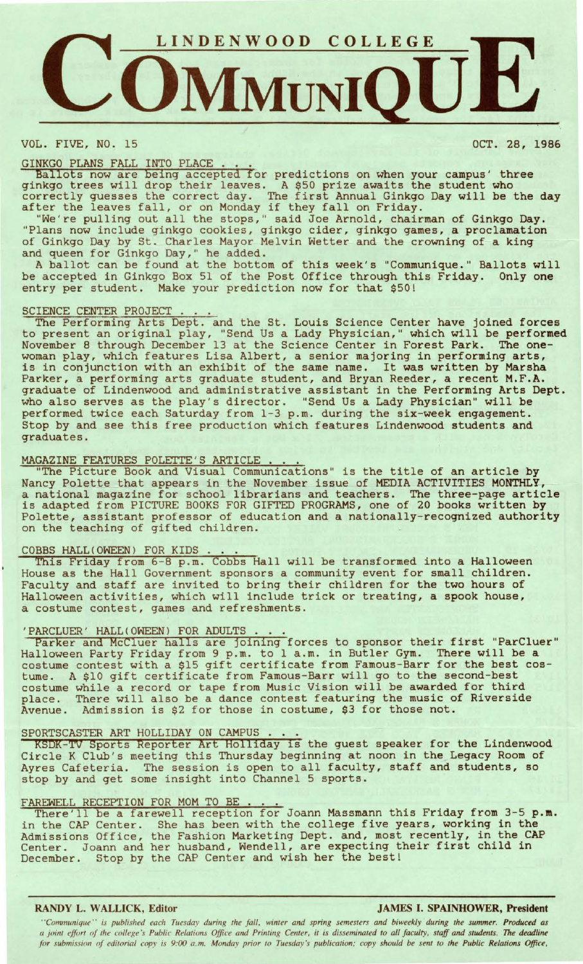

VOL. FIVE, NO. 15 OCT. 28, 1986

GINKGO PLANS FALL INTO PLACE ... Ballots now are being accepted for predictions on when your campus' three ginkgo trees will drop their leaves. A \$50 prize awaits the student who ginkgo trees with drop their reaves. A 350 prize awards the student who ecrrectly guesses the correct day: The first Annual Sinago

We're pulling out all the stops," said Joe Arnold, chairman of Ginkgo Day. "Plans now include ginkgo cookies, ginkgo cider, ginkgo games, a proclamation of Ginkgo Day by St. Charles Mayor Melvin Wetter and the crowning of a king and queen for Ginkgo Day," he added.

A ballot can be found at the bottom of this week's "Communique." Ballots will be accepted in Ginkgo Box 51 of the Post Office through this Friday. Only one entry per student. Make your prediction now for that \$50!

## SCIENCE CENTER PROJECT.

The Performing Arts Dept. and the St. Louis Science Center have joined forces to present an original play, "Send Us a Lady Physician," which will be performed November 8 through December 13 at the Science Center in Forest Park. The onewoman play, which features Lisa Albert, a senior majoring in performing arts, woman pray, which reacures lisa Albert, a senior majoring in performing arts, Parker, a performing arts graduate student, and Bryan Reeder, a recent **M.F.A.**  graduate of Lindenwood and administrative assistant in the Performing Arts Dept. who also serves as the play's director. "Send Us a Lady Physician" will be performed twice each Saturday from 1-3 p.m. during the six-week engagement. Stop by and see this free production which features Lindenwood students and graduates.

MAGAZINE FEATURES POLETTE'S ARTICLE . . . .<br>"The Picture Book and Visual Communications" is the title of an article by Nancy Polette that appears in the November issue of MEDIA ACTIVITIES MONTHLY, a national magazine for school librarians and teachers. The three-page article is adapted from PICTURE BOOKS FOR GIFTED PROGRAMS, one of 20 books written by Polette, assistant professor of education and a nationally-recognized **authority**  on the teaching of gifted children.

COBBS HALL(OWEEN) FOR KIDS ... This Friday from 6-8 p.m. Cobbs Hall will be transformed into a Halloween House as the Hall Government sponsors a community event for small children. Faculty and staff are invited to bring their children for the two hours of Halloween activities, which will include trick or treating, a spook house, a costume contest, games and refreshments.

a costume contest, games and refreshments.<br>'PARCLUER' HALL(OWEEN) FOR ADULTS ....<br>Parker and McCluer halls are joining forces to sponsor their first "ParCluer" Halloween Party Friday from 9 p.m. to 1 a.m. in Butler Gym. There will be a costume contest with a \$15 gift certificate from Famous-Barr for the best costume. A \$10 gift certificate from Famous-Barr will go to the second-best costume while a record or tape from Music Vision will be awarded for third place. There will also be a dance contest featuring the music of Riverside Avenue. Admission is \$2 for those in costume, \$3 for those not.

## SPORTSCASTER ART HOLLIDAY ON CAMPUS.

**KSDK-Tv** Sports Reporter Art Holliday is the guest speaker for the Lindenwood Circle K Club's meeting this Thursday beginning at noon in the Legacy Room of Ayres Cafeteria. The session is open to all faculty, staff and students, so stop by and get some insight into Channel 5 sports.

FAREWELL RECEPTION FOR MOM TO BE ... There'll be a farewell reception for Joann Massmann this Friday from 3-5 **p.m.**  in the CAP Center. She has been with the college five years, working in the Admissions Office, the Fashion Marketing Dept. and, most recently, in the CAP Ramissions Uffice, the rashfon marketing bept. and, most recently, in the ex-December. Stop by the CAP Center and wish her the best!

## **RANDY L. WALLICK, Editor JAMES** I. **SPAINHOWER, President**

''Communique'' is published each Tuesday during the fall, winter and spring semesters and biweekly during the summer. Produced as *a joint effort of the college's Public Relations Office and Printing Center, it is disseminated to all faculty, staff and students. The deadline for submission of editorial copy is 9:00 a.m. Monday prior to Tuesday's publication; copy should be sent to the Public Relations Office,*